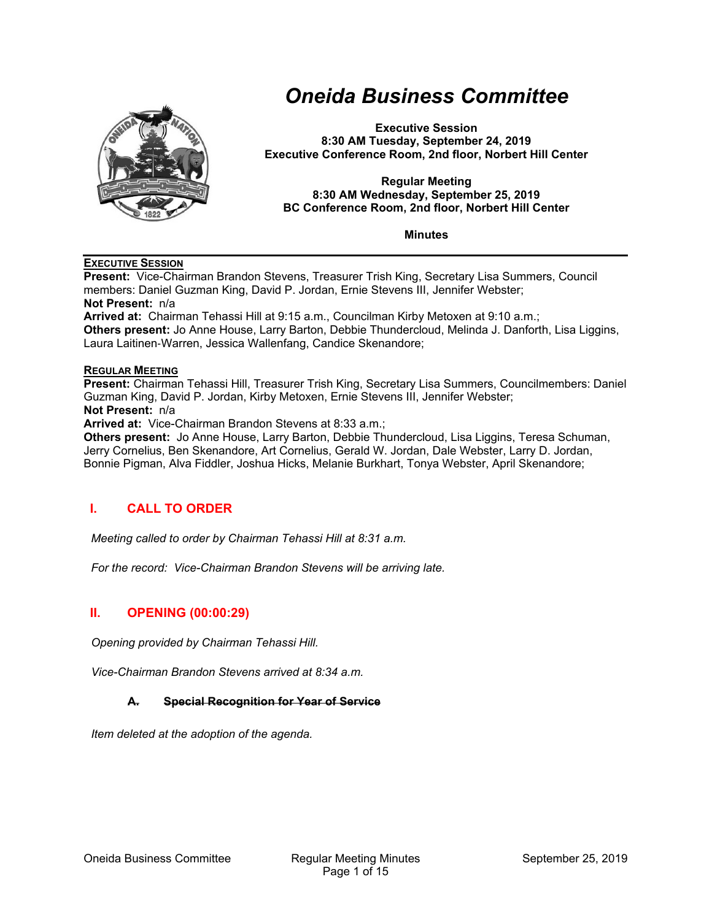

# *Oneida Business Committee*

**Executive Session 8:30 AM Tuesday, September 24, 2019 Executive Conference Room, 2nd floor, Norbert Hill Center** 

#### **Regular Meeting 8:30 AM Wednesday, September 25, 2019 BC Conference Room, 2nd floor, Norbert Hill Center**

**Minutes** 

#### **EXECUTIVE SESSION**

**Present:** Vice-Chairman Brandon Stevens, Treasurer Trish King, Secretary Lisa Summers, Council members: Daniel Guzman King, David P. Jordan, Ernie Stevens III, Jennifer Webster;

**Not Present:** n/a

**Arrived at:** Chairman Tehassi Hill at 9:15 a.m., Councilman Kirby Metoxen at 9:10 a.m.; **Others present:** Jo Anne House, Larry Barton, Debbie Thundercloud, Melinda J. Danforth, Lisa Liggins, Laura Laitinen‐Warren, Jessica Wallenfang, Candice Skenandore;

#### **REGULAR MEETING**

**Present:** Chairman Tehassi Hill, Treasurer Trish King, Secretary Lisa Summers, Councilmembers: Daniel Guzman King, David P. Jordan, Kirby Metoxen, Ernie Stevens III, Jennifer Webster;

**Not Present:** n/a

**Arrived at:** Vice-Chairman Brandon Stevens at 8:33 a.m.;

**Others present:** Jo Anne House, Larry Barton, Debbie Thundercloud, Lisa Liggins, Teresa Schuman, Jerry Cornelius, Ben Skenandore, Art Cornelius, Gerald W. Jordan, Dale Webster, Larry D. Jordan, Bonnie Pigman, Alva Fiddler, Joshua Hicks, Melanie Burkhart, Tonya Webster, April Skenandore;

## **I. CALL TO ORDER**

*Meeting called to order by Chairman Tehassi Hill at 8:31 a.m.* 

*For the record: Vice-Chairman Brandon Stevens will be arriving late.* 

## **II. OPENING (00:00:29)**

*Opening provided by Chairman Tehassi Hill.* 

*Vice-Chairman Brandon Stevens arrived at 8:34 a.m.* 

#### **A. Special Recognition for Year of Service**

*Item deleted at the adoption of the agenda.*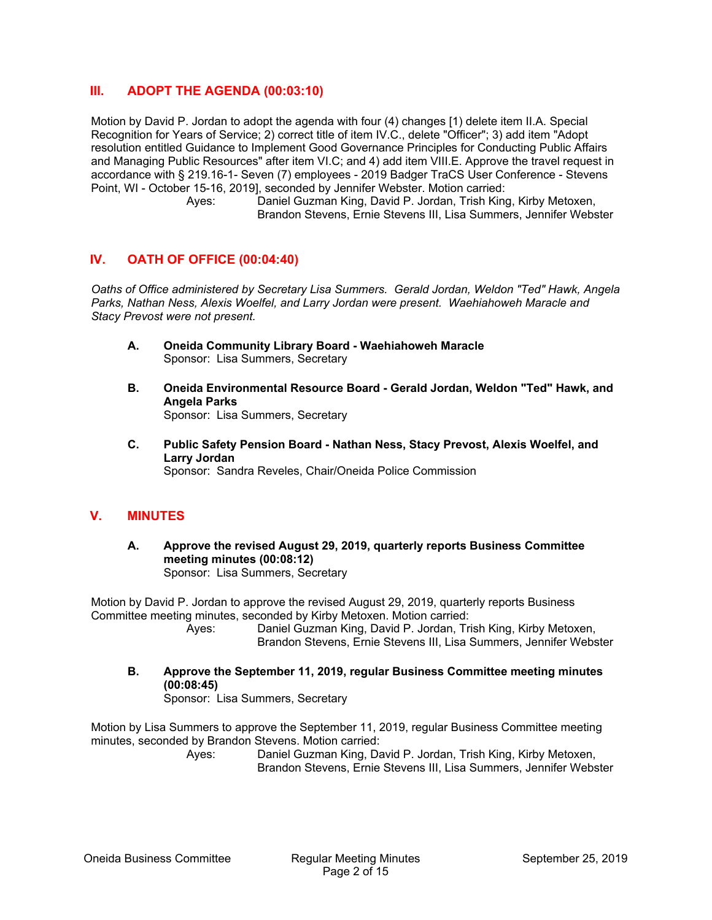## **III. ADOPT THE AGENDA (00:03:10)**

Motion by David P. Jordan to adopt the agenda with four (4) changes [1) delete item II.A. Special Recognition for Years of Service; 2) correct title of item IV.C., delete "Officer"; 3) add item "Adopt resolution entitled Guidance to Implement Good Governance Principles for Conducting Public Affairs and Managing Public Resources" after item VI.C; and 4) add item VIII.E. Approve the travel request in accordance with § 219.16-1- Seven (7) employees - 2019 Badger TraCS User Conference - Stevens Point, WI - October 15-16, 2019], seconded by Jennifer Webster. Motion carried:

 Ayes: Daniel Guzman King, David P. Jordan, Trish King, Kirby Metoxen, Brandon Stevens, Ernie Stevens III, Lisa Summers, Jennifer Webster

## **IV. OATH OF OFFICE (00:04:40)**

*Oaths of Office administered by Secretary Lisa Summers. Gerald Jordan, Weldon "Ted" Hawk, Angela Parks, Nathan Ness, Alexis Woelfel, and Larry Jordan were present. Waehiahoweh Maracle and Stacy Prevost were not present.* 

- **A. Oneida Community Library Board Waehiahoweh Maracle**  Sponsor: Lisa Summers, Secretary
- **B. Oneida Environmental Resource Board Gerald Jordan, Weldon "Ted" Hawk, and Angela Parks**  Sponsor: Lisa Summers, Secretary
- **C. Public Safety Pension Board Nathan Ness, Stacy Prevost, Alexis Woelfel, and Larry Jordan**  Sponsor: Sandra Reveles, Chair/Oneida Police Commission

#### **V. MINUTES**

**A. Approve the revised August 29, 2019, quarterly reports Business Committee meeting minutes (00:08:12)**  Sponsor: Lisa Summers, Secretary

Motion by David P. Jordan to approve the revised August 29, 2019, quarterly reports Business Committee meeting minutes, seconded by Kirby Metoxen. Motion carried:

- Ayes: Daniel Guzman King, David P. Jordan, Trish King, Kirby Metoxen, Brandon Stevens, Ernie Stevens III, Lisa Summers, Jennifer Webster
- **B. Approve the September 11, 2019, regular Business Committee meeting minutes (00:08:45)**  Sponsor: Lisa Summers, Secretary

Motion by Lisa Summers to approve the September 11, 2019, regular Business Committee meeting minutes, seconded by Brandon Stevens. Motion carried: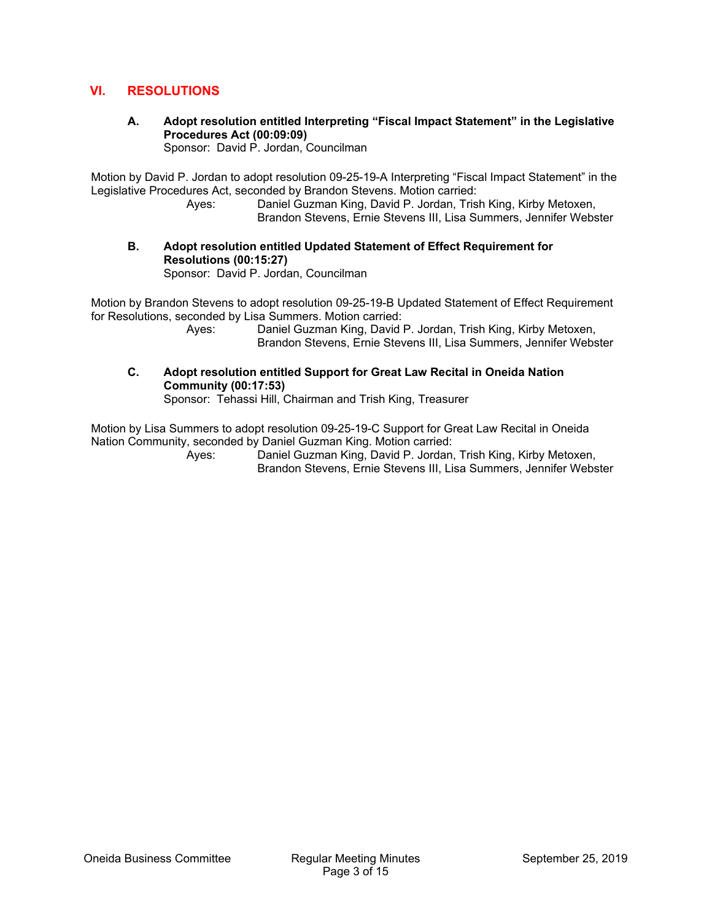## **VI. RESOLUTIONS**

**A. Adopt resolution entitled Interpreting "Fiscal Impact Statement" in the Legislative Procedures Act (00:09:09)** 

Sponsor: David P. Jordan, Councilman

Motion by David P. Jordan to adopt resolution 09-25-19-A Interpreting "Fiscal Impact Statement" in the Legislative Procedures Act, seconded by Brandon Stevens. Motion carried:

 Ayes: Daniel Guzman King, David P. Jordan, Trish King, Kirby Metoxen, Brandon Stevens, Ernie Stevens III, Lisa Summers, Jennifer Webster

**B. Adopt resolution entitled Updated Statement of Effect Requirement for Resolutions (00:15:27)** 

Sponsor: David P. Jordan, Councilman

Motion by Brandon Stevens to adopt resolution 09-25-19-B Updated Statement of Effect Requirement for Resolutions, seconded by Lisa Summers. Motion carried:

 Ayes: Daniel Guzman King, David P. Jordan, Trish King, Kirby Metoxen, Brandon Stevens, Ernie Stevens III, Lisa Summers, Jennifer Webster

**C. Adopt resolution entitled Support for Great Law Recital in Oneida Nation Community (00:17:53)**  Sponsor: Tehassi Hill, Chairman and Trish King, Treasurer

Motion by Lisa Summers to adopt resolution 09-25-19-C Support for Great Law Recital in Oneida Nation Community, seconded by Daniel Guzman King. Motion carried: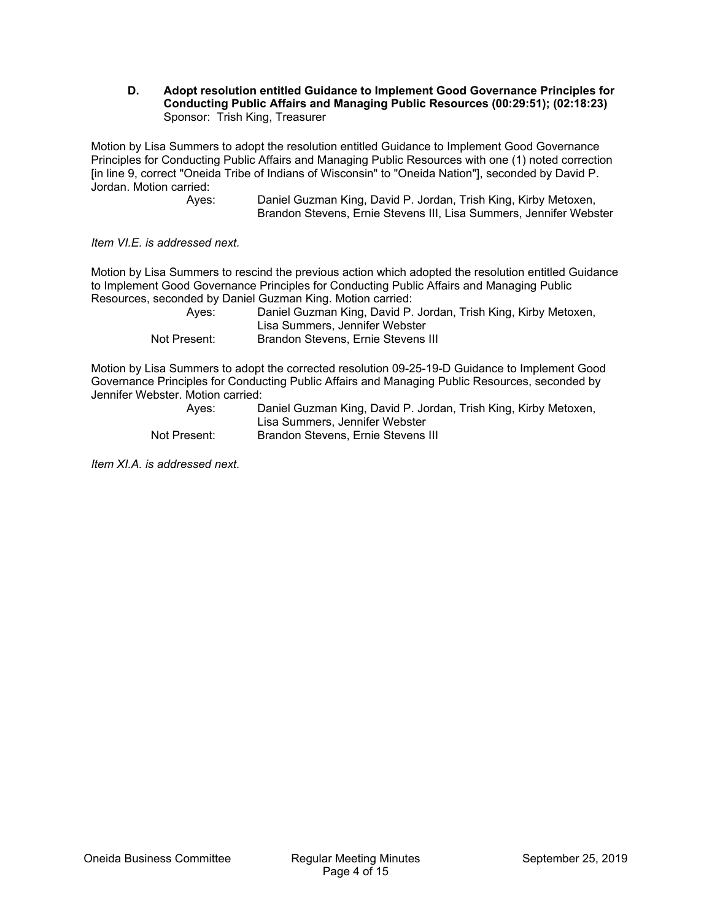**D. Adopt resolution entitled Guidance to Implement Good Governance Principles for Conducting Public Affairs and Managing Public Resources (00:29:51); (02:18:23)**  Sponsor: Trish King, Treasurer

Motion by Lisa Summers to adopt the resolution entitled Guidance to Implement Good Governance Principles for Conducting Public Affairs and Managing Public Resources with one (1) noted correction [in line 9, correct "Oneida Tribe of Indians of Wisconsin" to "Oneida Nation"], seconded by David P. Jordan. Motion carried:

 Ayes: Daniel Guzman King, David P. Jordan, Trish King, Kirby Metoxen, Brandon Stevens, Ernie Stevens III, Lisa Summers, Jennifer Webster

*Item VI.E. is addressed next.* 

Motion by Lisa Summers to rescind the previous action which adopted the resolution entitled Guidance to Implement Good Governance Principles for Conducting Public Affairs and Managing Public Resources, seconded by Daniel Guzman King. Motion carried:

| Aves:        | Daniel Guzman King, David P. Jordan, Trish King, Kirby Metoxen,<br>Lisa Summers, Jennifer Webster |
|--------------|---------------------------------------------------------------------------------------------------|
| Not Present: | Brandon Stevens, Ernie Stevens III                                                                |

Motion by Lisa Summers to adopt the corrected resolution 09-25-19-D Guidance to Implement Good Governance Principles for Conducting Public Affairs and Managing Public Resources, seconded by Jennifer Webster. Motion carried:

| Aves:        | Daniel Guzman King, David P. Jordan, Trish King, Kirby Metoxen, |
|--------------|-----------------------------------------------------------------|
|              | Lisa Summers, Jennifer Webster                                  |
| Not Present: | Brandon Stevens, Ernie Stevens III                              |

*Item XI.A. is addressed next.*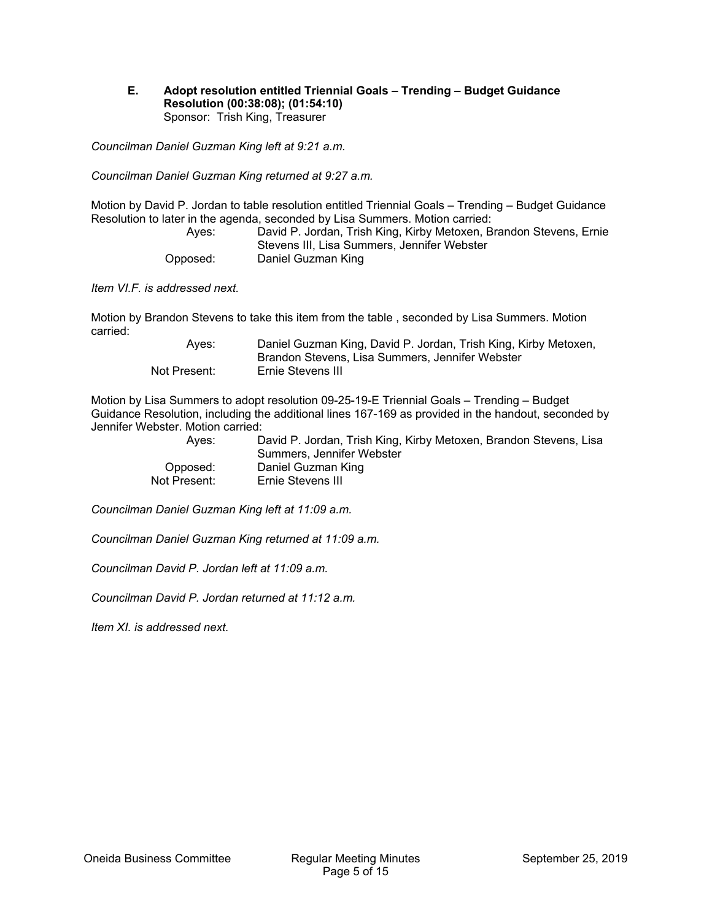#### **E. Adopt resolution entitled Triennial Goals – Trending – Budget Guidance Resolution (00:38:08); (01:54:10)**  Sponsor: Trish King, Treasurer

*Councilman Daniel Guzman King left at 9:21 a.m.* 

*Councilman Daniel Guzman King returned at 9:27 a.m.* 

Motion by David P. Jordan to table resolution entitled Triennial Goals – Trending – Budget Guidance Resolution to later in the agenda, seconded by Lisa Summers. Motion carried:

| Aves:    | David P. Jordan, Trish King, Kirby Metoxen, Brandon Stevens, Ernie |
|----------|--------------------------------------------------------------------|
|          | Stevens III, Lisa Summers, Jennifer Webster                        |
| Opposed: | Daniel Guzman King                                                 |

*Item VI.F. is addressed next.* 

Motion by Brandon Stevens to take this item from the table , seconded by Lisa Summers. Motion carried:

| Aves:        | Daniel Guzman King, David P. Jordan, Trish King, Kirby Metoxen,<br>Brandon Stevens, Lisa Summers, Jennifer Webster |
|--------------|--------------------------------------------------------------------------------------------------------------------|
| Not Present: | Ernie Stevens III                                                                                                  |

Motion by Lisa Summers to adopt resolution 09-25-19-E Triennial Goals – Trending – Budget Guidance Resolution, including the additional lines 167-169 as provided in the handout, seconded by Jennifer Webster. Motion carried:

| Aves:        | David P. Jordan, Trish King, Kirby Metoxen, Brandon Stevens, Lisa |
|--------------|-------------------------------------------------------------------|
|              | Summers. Jennifer Webster                                         |
| Opposed:     | Daniel Guzman King                                                |
| Not Present: | Ernie Stevens III                                                 |

*Councilman Daniel Guzman King left at 11:09 a.m.* 

*Councilman Daniel Guzman King returned at 11:09 a.m.* 

*Councilman David P. Jordan left at 11:09 a.m.* 

*Councilman David P. Jordan returned at 11:12 a.m.* 

*Item XI. is addressed next.*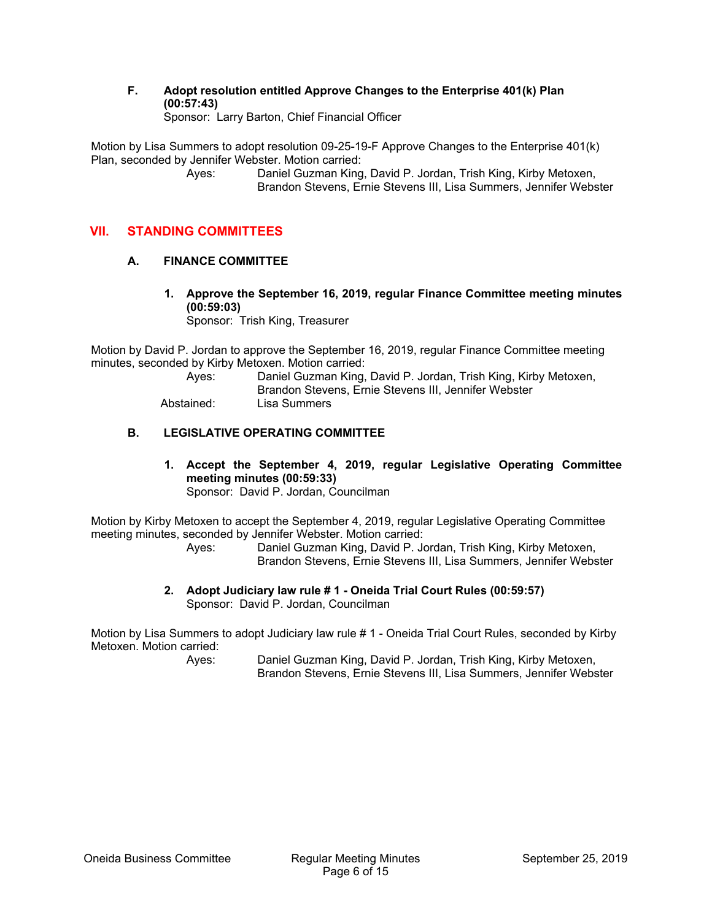**F. Adopt resolution entitled Approve Changes to the Enterprise 401(k) Plan (00:57:43)** 

Sponsor: Larry Barton, Chief Financial Officer

Motion by Lisa Summers to adopt resolution 09-25-19-F Approve Changes to the Enterprise 401(k) Plan, seconded by Jennifer Webster. Motion carried:

 Ayes: Daniel Guzman King, David P. Jordan, Trish King, Kirby Metoxen, Brandon Stevens, Ernie Stevens III, Lisa Summers, Jennifer Webster

## **VII. STANDING COMMITTEES**

#### **A. FINANCE COMMITTEE**

**1. Approve the September 16, 2019, regular Finance Committee meeting minutes (00:59:03)** 

Sponsor: Trish King, Treasurer

Motion by David P. Jordan to approve the September 16, 2019, regular Finance Committee meeting minutes, seconded by Kirby Metoxen. Motion carried:

| Aves:      | Daniel Guzman King, David P. Jordan, Trish King, Kirby Metoxen,<br>Brandon Stevens, Ernie Stevens III, Jennifer Webster |
|------------|-------------------------------------------------------------------------------------------------------------------------|
| Abstained: | Lisa Summers                                                                                                            |

## **B. LEGISLATIVE OPERATING COMMITTEE**

**1. Accept the September 4, 2019, regular Legislative Operating Committee meeting minutes (00:59:33)**  Sponsor: David P. Jordan, Councilman

Motion by Kirby Metoxen to accept the September 4, 2019, regular Legislative Operating Committee meeting minutes, seconded by Jennifer Webster. Motion carried:

 Ayes: Daniel Guzman King, David P. Jordan, Trish King, Kirby Metoxen, Brandon Stevens, Ernie Stevens III, Lisa Summers, Jennifer Webster

**2. Adopt Judiciary law rule # 1 - Oneida Trial Court Rules (00:59:57)**  Sponsor: David P. Jordan, Councilman

Motion by Lisa Summers to adopt Judiciary law rule # 1 - Oneida Trial Court Rules, seconded by Kirby Metoxen. Motion carried: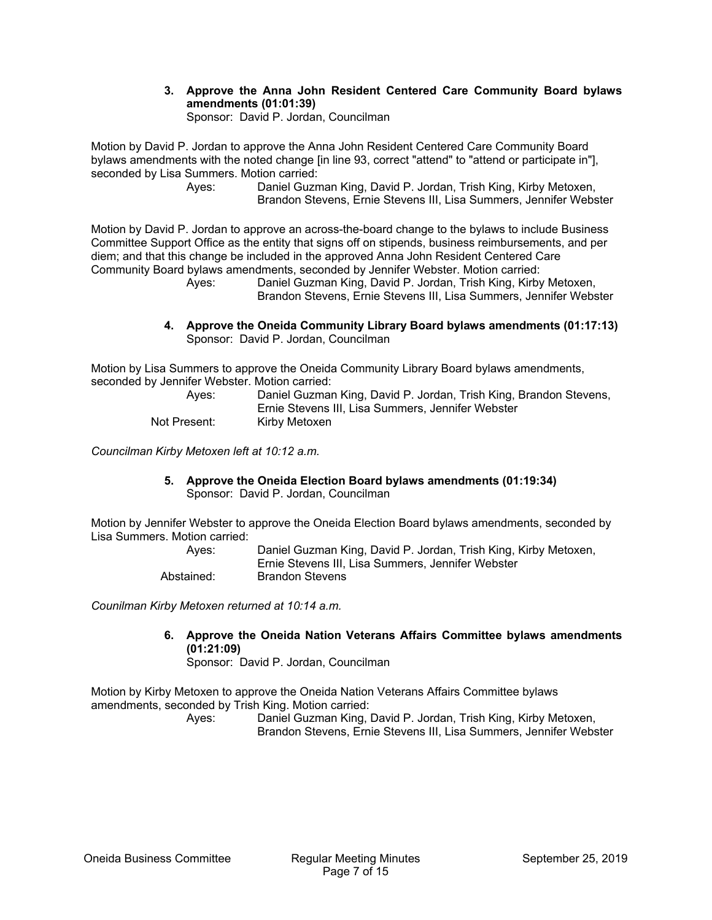**3. Approve the Anna John Resident Centered Care Community Board bylaws amendments (01:01:39)** 

Sponsor: David P. Jordan, Councilman

Motion by David P. Jordan to approve the Anna John Resident Centered Care Community Board bylaws amendments with the noted change [in line 93, correct "attend" to "attend or participate in"], seconded by Lisa Summers. Motion carried:

 Ayes: Daniel Guzman King, David P. Jordan, Trish King, Kirby Metoxen, Brandon Stevens, Ernie Stevens III, Lisa Summers, Jennifer Webster

Motion by David P. Jordan to approve an across-the-board change to the bylaws to include Business Committee Support Office as the entity that signs off on stipends, business reimbursements, and per diem; and that this change be included in the approved Anna John Resident Centered Care Community Board bylaws amendments, seconded by Jennifer Webster. Motion carried:

Daniel Guzman King, David P. Jordan, Trish King, Kirby Metoxen, Brandon Stevens, Ernie Stevens III, Lisa Summers, Jennifer Webster

**4. Approve the Oneida Community Library Board bylaws amendments (01:17:13)**  Sponsor: David P. Jordan, Councilman

Motion by Lisa Summers to approve the Oneida Community Library Board bylaws amendments, seconded by Jennifer Webster. Motion carried:

| Aves:        | Daniel Guzman King, David P. Jordan, Trish King, Brandon Stevens, |
|--------------|-------------------------------------------------------------------|
|              | Ernie Stevens III, Lisa Summers, Jennifer Webster                 |
| Not Present: | Kirby Metoxen                                                     |

*Councilman Kirby Metoxen left at 10:12 a.m.* 

**5. Approve the Oneida Election Board bylaws amendments (01:19:34)**  Sponsor: David P. Jordan, Councilman

Motion by Jennifer Webster to approve the Oneida Election Board bylaws amendments, seconded by Lisa Summers. Motion carried:

> Ayes: Daniel Guzman King, David P. Jordan, Trish King, Kirby Metoxen, Ernie Stevens III, Lisa Summers, Jennifer Webster Abstained: Brandon Stevens

*Counilman Kirby Metoxen returned at 10:14 a.m.* 

**6. Approve the Oneida Nation Veterans Affairs Committee bylaws amendments (01:21:09)** 

Sponsor: David P. Jordan, Councilman

Motion by Kirby Metoxen to approve the Oneida Nation Veterans Affairs Committee bylaws amendments, seconded by Trish King. Motion carried: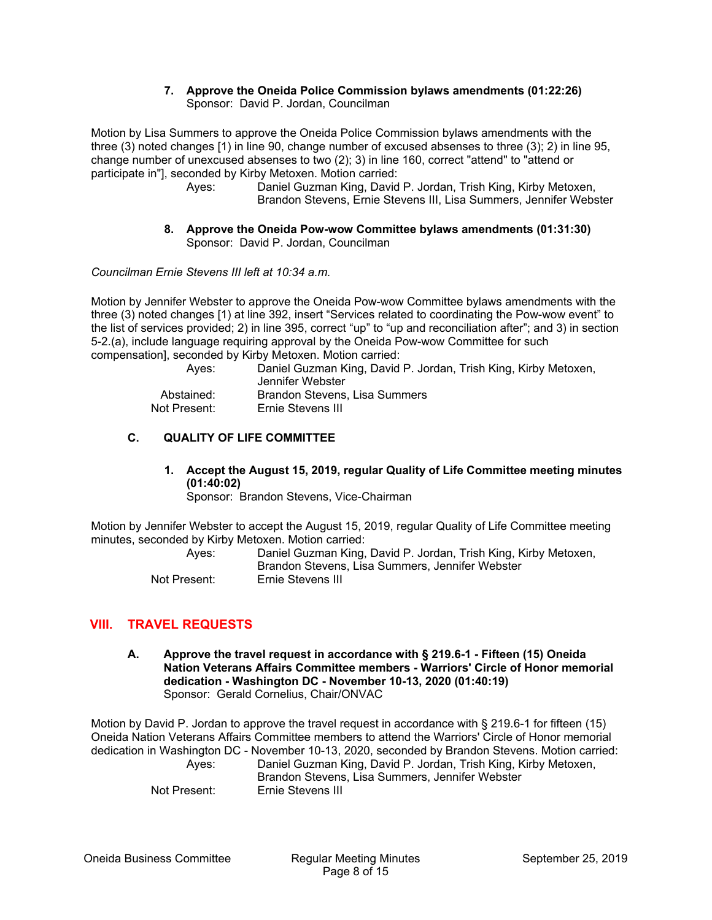#### **7. Approve the Oneida Police Commission bylaws amendments (01:22:26)**  Sponsor: David P. Jordan, Councilman

Motion by Lisa Summers to approve the Oneida Police Commission bylaws amendments with the three (3) noted changes [1) in line 90, change number of excused absenses to three (3); 2) in line 95, change number of unexcused absenses to two (2); 3) in line 160, correct "attend" to "attend or participate in"], seconded by Kirby Metoxen. Motion carried:

 Ayes: Daniel Guzman King, David P. Jordan, Trish King, Kirby Metoxen, Brandon Stevens, Ernie Stevens III, Lisa Summers, Jennifer Webster

#### **8. Approve the Oneida Pow-wow Committee bylaws amendments (01:31:30)**  Sponsor: David P. Jordan, Councilman

*Councilman Ernie Stevens III left at 10:34 a.m.* 

Motion by Jennifer Webster to approve the Oneida Pow-wow Committee bylaws amendments with the three (3) noted changes [1) at line 392, insert "Services related to coordinating the Pow-wow event" to the list of services provided; 2) in line 395, correct "up" to "up and reconciliation after"; and 3) in section 5-2.(a), include language requiring approval by the Oneida Pow-wow Committee for such compensation], seconded by Kirby Metoxen. Motion carried:

| Aves:        | Daniel Guzman King, David P. Jordan, Trish King, Kirby Metoxen,<br>Jennifer Webster |
|--------------|-------------------------------------------------------------------------------------|
| Abstained:   | Brandon Stevens, Lisa Summers                                                       |
| Not Present: | Ernie Stevens III                                                                   |

#### **C. QUALITY OF LIFE COMMITTEE**

**1. Accept the August 15, 2019, regular Quality of Life Committee meeting minutes (01:40:02)** 

Sponsor: Brandon Stevens, Vice-Chairman

Motion by Jennifer Webster to accept the August 15, 2019, regular Quality of Life Committee meeting minutes, seconded by Kirby Metoxen. Motion carried:

| Aves:        | Daniel Guzman King, David P. Jordan, Trish King, Kirby Metoxen,<br>Brandon Stevens, Lisa Summers, Jennifer Webster |
|--------------|--------------------------------------------------------------------------------------------------------------------|
| Not Present: | Ernie Stevens III                                                                                                  |

## **VIII. TRAVEL REQUESTS**

**A. Approve the travel request in accordance with § 219.6-1 - Fifteen (15) Oneida Nation Veterans Affairs Committee members - Warriors' Circle of Honor memorial dedication - Washington DC - November 10-13, 2020 (01:40:19)**  Sponsor: Gerald Cornelius, Chair/ONVAC

Motion by David P. Jordan to approve the travel request in accordance with § 219.6-1 for fifteen (15) Oneida Nation Veterans Affairs Committee members to attend the Warriors' Circle of Honor memorial dedication in Washington DC - November 10-13, 2020, seconded by Brandon Stevens. Motion carried:

 Ayes: Daniel Guzman King, David P. Jordan, Trish King, Kirby Metoxen, Brandon Stevens, Lisa Summers, Jennifer Webster Not Present: Ernie Stevens III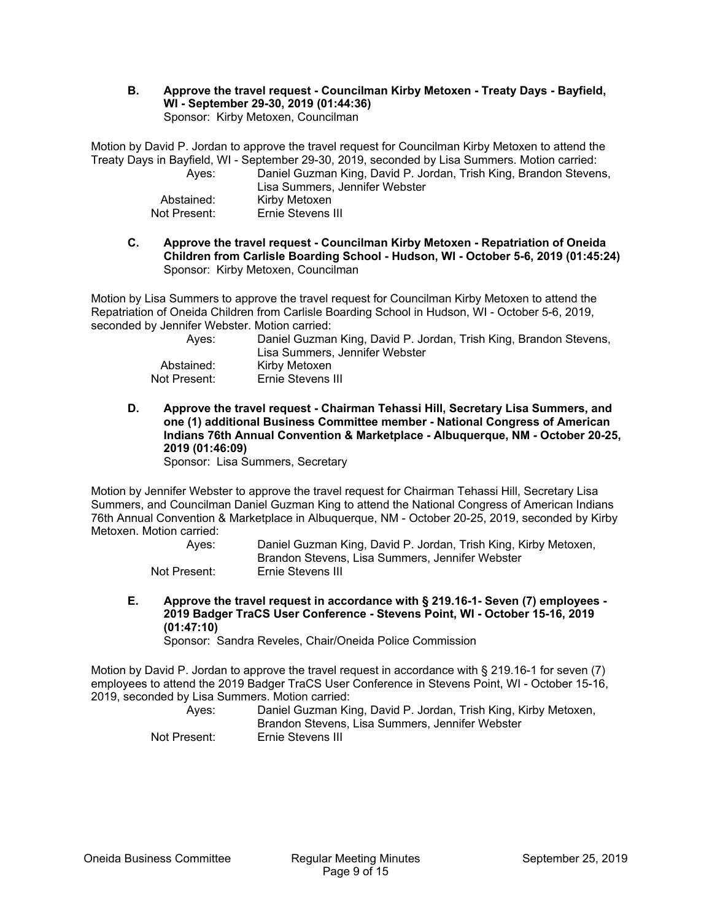**B. Approve the travel request - Councilman Kirby Metoxen - Treaty Days - Bayfield, WI - September 29-30, 2019 (01:44:36)**  Sponsor: Kirby Metoxen, Councilman

Motion by David P. Jordan to approve the travel request for Councilman Kirby Metoxen to attend the Treaty Days in Bayfield, WI - September 29-30, 2019, seconded by Lisa Summers. Motion carried: Ayes: Daniel Guzman King, David P. Jordan, Trish King, Brandon Stevens, Lisa Summers, Jennifer Webster Abstained: Kirby Metoxen Not Present: Ernie Stevens III

**C. Approve the travel request - Councilman Kirby Metoxen - Repatriation of Oneida Children from Carlisle Boarding School - Hudson, WI - October 5-6, 2019 (01:45:24)**  Sponsor: Kirby Metoxen, Councilman

Motion by Lisa Summers to approve the travel request for Councilman Kirby Metoxen to attend the Repatriation of Oneida Children from Carlisle Boarding School in Hudson, WI - October 5-6, 2019, seconded by Jennifer Webster. Motion carried:

| Aves:        | Daniel Guzman King, David P. Jordan, Trish King, Brandon Stevens, |
|--------------|-------------------------------------------------------------------|
|              | Lisa Summers, Jennifer Webster                                    |
| Abstained:   | Kirby Metoxen                                                     |
| Not Present: | Ernie Stevens III                                                 |

**D. Approve the travel request - Chairman Tehassi Hill, Secretary Lisa Summers, and one (1) additional Business Committee member - National Congress of American Indians 76th Annual Convention & Marketplace - Albuquerque, NM - October 20-25, 2019 (01:46:09)** 

Sponsor: Lisa Summers, Secretary

Motion by Jennifer Webster to approve the travel request for Chairman Tehassi Hill, Secretary Lisa Summers, and Councilman Daniel Guzman King to attend the National Congress of American Indians 76th Annual Convention & Marketplace in Albuquerque, NM - October 20-25, 2019, seconded by Kirby Metoxen. Motion carried:

| Aves:        | Daniel Guzman King, David P. Jordan, Trish King, Kirby Metoxen, |
|--------------|-----------------------------------------------------------------|
|              | Brandon Stevens. Lisa Summers. Jennifer Webster                 |
| Not Present: | Ernie Stevens III                                               |

**E. Approve the travel request in accordance with § 219.16-1- Seven (7) employees - 2019 Badger TraCS User Conference - Stevens Point, WI - October 15-16, 2019 (01:47:10)** 

Sponsor: Sandra Reveles, Chair/Oneida Police Commission

Motion by David P. Jordan to approve the travel request in accordance with § 219.16-1 for seven (7) employees to attend the 2019 Badger TraCS User Conference in Stevens Point, WI - October 15-16, 2019, seconded by Lisa Summers. Motion carried:

| Aves:        | Daniel Guzman King, David P. Jordan, Trish King, Kirby Metoxen,<br>Brandon Stevens, Lisa Summers, Jennifer Webster |
|--------------|--------------------------------------------------------------------------------------------------------------------|
| Not Present: | Ernie Stevens III                                                                                                  |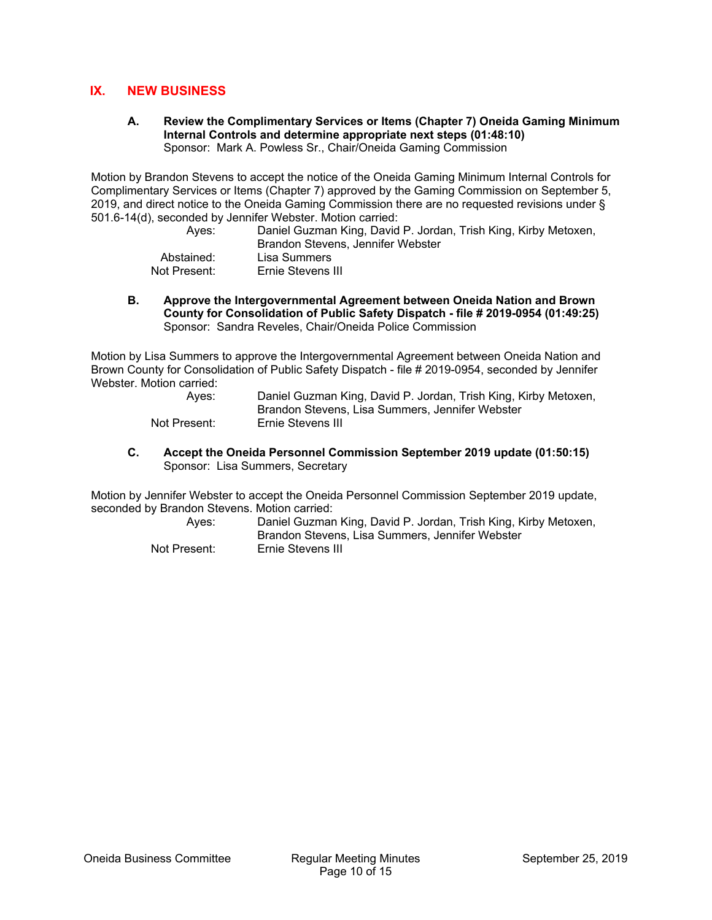## **IX. NEW BUSINESS**

**A. Review the Complimentary Services or Items (Chapter 7) Oneida Gaming Minimum Internal Controls and determine appropriate next steps (01:48:10)**  Sponsor: Mark A. Powless Sr., Chair/Oneida Gaming Commission

Motion by Brandon Stevens to accept the notice of the Oneida Gaming Minimum Internal Controls for Complimentary Services or Items (Chapter 7) approved by the Gaming Commission on September 5, 2019, and direct notice to the Oneida Gaming Commission there are no requested revisions under § 501.6-14(d), seconded by Jennifer Webster. Motion carried:

| Aves:        | Daniel Guzman King, David P. Jordan, Trish King, Kirby Metoxen, |
|--------------|-----------------------------------------------------------------|
|              | Brandon Stevens, Jennifer Webster                               |
| Abstained:   | Lisa Summers                                                    |
| Not Present: | Ernie Stevens III                                               |

**B. Approve the Intergovernmental Agreement between Oneida Nation and Brown County for Consolidation of Public Safety Dispatch - file # 2019-0954 (01:49:25)**  Sponsor: Sandra Reveles, Chair/Oneida Police Commission

Motion by Lisa Summers to approve the Intergovernmental Agreement between Oneida Nation and Brown County for Consolidation of Public Safety Dispatch - file # 2019-0954, seconded by Jennifer Webster. Motion carried:

| Aves:        | Daniel Guzman King, David P. Jordan, Trish King, Kirby Metoxen, |
|--------------|-----------------------------------------------------------------|
|              | Brandon Stevens, Lisa Summers, Jennifer Webster                 |
| Not Present: | Ernie Stevens III                                               |

**C. Accept the Oneida Personnel Commission September 2019 update (01:50:15)**  Sponsor: Lisa Summers, Secretary

Motion by Jennifer Webster to accept the Oneida Personnel Commission September 2019 update, seconded by Brandon Stevens. Motion carried:

| Aves:        | Daniel Guzman King, David P. Jordan, Trish King, Kirby Metoxen,<br>Brandon Stevens, Lisa Summers, Jennifer Webster |
|--------------|--------------------------------------------------------------------------------------------------------------------|
| Not Present: | Ernie Stevens III                                                                                                  |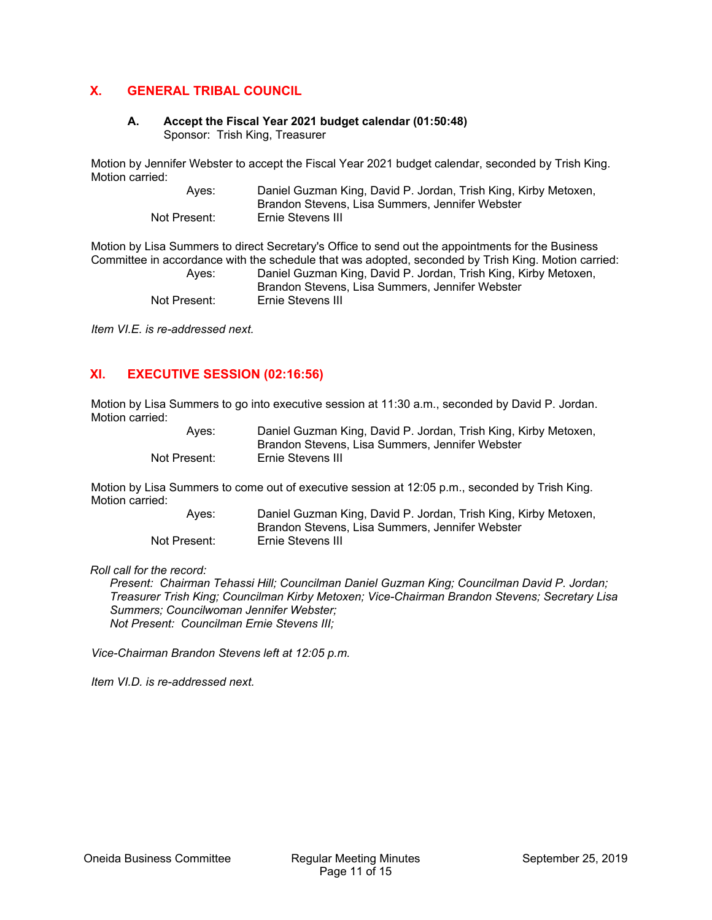## **X. GENERAL TRIBAL COUNCIL**

## **A. Accept the Fiscal Year 2021 budget calendar (01:50:48)**

Sponsor: Trish King, Treasurer

Motion by Jennifer Webster to accept the Fiscal Year 2021 budget calendar, seconded by Trish King. Motion carried:

| Aves:        | Daniel Guzman King, David P. Jordan, Trish King, Kirby Metoxen, |
|--------------|-----------------------------------------------------------------|
|              | Brandon Stevens, Lisa Summers, Jennifer Webster                 |
| Not Present: | Ernie Stevens III                                               |

Motion by Lisa Summers to direct Secretary's Office to send out the appointments for the Business Committee in accordance with the schedule that was adopted, seconded by Trish King. Motion carried: Ayes: Daniel Guzman King, David P. Jordan, Trish King, Kirby Metoxen, Brandon Stevens, Lisa Summers, Jennifer Webster Not Present: Ernie Stevens III

*Item VI.E. is re-addressed next.* 

## **XI. EXECUTIVE SESSION (02:16:56)**

Motion by Lisa Summers to go into executive session at 11:30 a.m., seconded by David P. Jordan. Motion carried:

| Aves:        | Daniel Guzman King, David P. Jordan, Trish King, Kirby Metoxen, |
|--------------|-----------------------------------------------------------------|
|              | Brandon Stevens, Lisa Summers, Jennifer Webster                 |
| Not Present: | Ernie Stevens III                                               |

Motion by Lisa Summers to come out of executive session at 12:05 p.m., seconded by Trish King. Motion carried:

| Aves:        | Daniel Guzman King, David P. Jordan, Trish King, Kirby Metoxen, |
|--------------|-----------------------------------------------------------------|
|              | Brandon Stevens, Lisa Summers, Jennifer Webster                 |
| Not Present: | Ernie Stevens III                                               |

*Roll call for the record:* 

*Present: Chairman Tehassi Hill; Councilman Daniel Guzman King; Councilman David P. Jordan; Treasurer Trish King; Councilman Kirby Metoxen; Vice-Chairman Brandon Stevens; Secretary Lisa Summers; Councilwoman Jennifer Webster; Not Present: Councilman Ernie Stevens III;* 

*Vice-Chairman Brandon Stevens left at 12:05 p.m.* 

*Item VI.D. is re-addressed next.*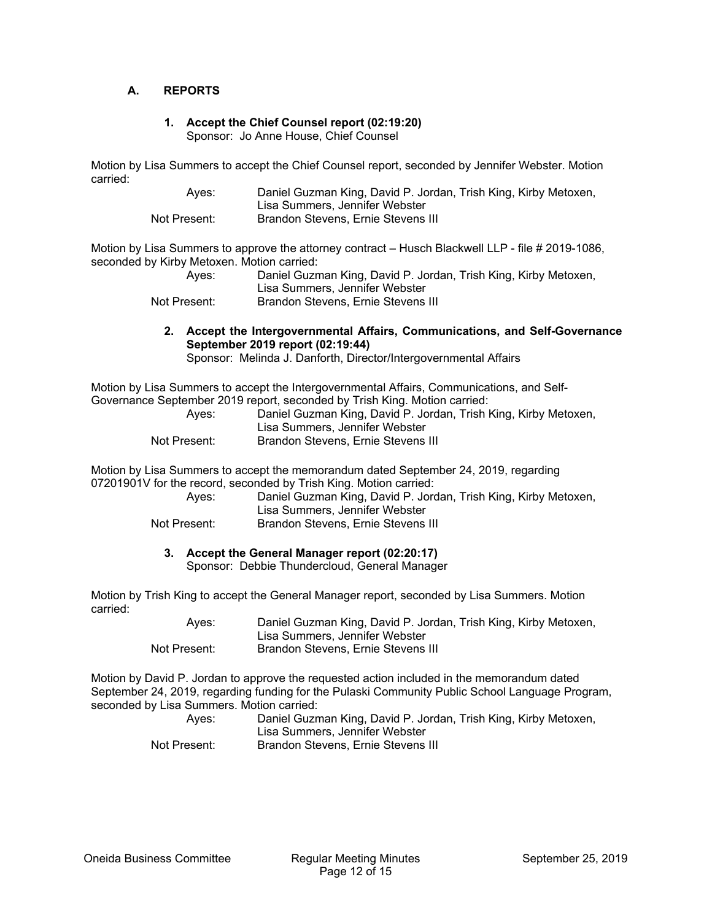#### **A. REPORTS**

#### **1. Accept the Chief Counsel report (02:19:20)**  Sponsor: Jo Anne House, Chief Counsel

Motion by Lisa Summers to accept the Chief Counsel report, seconded by Jennifer Webster. Motion carried:

| Aves:        | Daniel Guzman King, David P. Jordan, Trish King, Kirby Metoxen, |
|--------------|-----------------------------------------------------------------|
|              | Lisa Summers. Jennifer Webster                                  |
| Not Present: | Brandon Stevens, Ernie Stevens III                              |

Motion by Lisa Summers to approve the attorney contract – Husch Blackwell LLP - file # 2019-1086, seconded by Kirby Metoxen. Motion carried:

| Aves:        | Daniel Guzman King, David P. Jordan, Trish King, Kirby Metoxen,<br>Lisa Summers, Jennifer Webster |
|--------------|---------------------------------------------------------------------------------------------------|
| Not Present: | Brandon Stevens, Ernie Stevens III                                                                |

**2. Accept the Intergovernmental Affairs, Communications, and Self-Governance September 2019 report (02:19:44)** 

Sponsor: Melinda J. Danforth, Director/Intergovernmental Affairs

Motion by Lisa Summers to accept the Intergovernmental Affairs, Communications, and Self-Governance September 2019 report, seconded by Trish King. Motion carried:

| Aves:        | Daniel Guzman King, David P. Jordan, Trish King, Kirby Metoxen,<br>Lisa Summers, Jennifer Webster |
|--------------|---------------------------------------------------------------------------------------------------|
| Not Present: | Brandon Stevens, Ernie Stevens III                                                                |

Motion by Lisa Summers to accept the memorandum dated September 24, 2019, regarding 07201901V for the record, seconded by Trish King. Motion carried:

| Aves:        | Daniel Guzman King, David P. Jordan, Trish King, Kirby Metoxen, |
|--------------|-----------------------------------------------------------------|
|              | Lisa Summers, Jennifer Webster                                  |
| Not Present: | Brandon Stevens, Ernie Stevens III                              |

#### **3. Accept the General Manager report (02:20:17)**

Sponsor: Debbie Thundercloud, General Manager

Motion by Trish King to accept the General Manager report, seconded by Lisa Summers. Motion carried:

| Aves:        | Daniel Guzman King, David P. Jordan, Trish King, Kirby Metoxen, |
|--------------|-----------------------------------------------------------------|
|              | Lisa Summers, Jennifer Webster                                  |
| Not Present: | <b>Brandon Stevens, Ernie Stevens III</b>                       |

Motion by David P. Jordan to approve the requested action included in the memorandum dated September 24, 2019, regarding funding for the Pulaski Community Public School Language Program, seconded by Lisa Summers. Motion carried:

| Aves:        | Daniel Guzman King, David P. Jordan, Trish King, Kirby Metoxen,<br>Lisa Summers, Jennifer Webster |
|--------------|---------------------------------------------------------------------------------------------------|
| Not Present: | Brandon Stevens, Ernie Stevens III                                                                |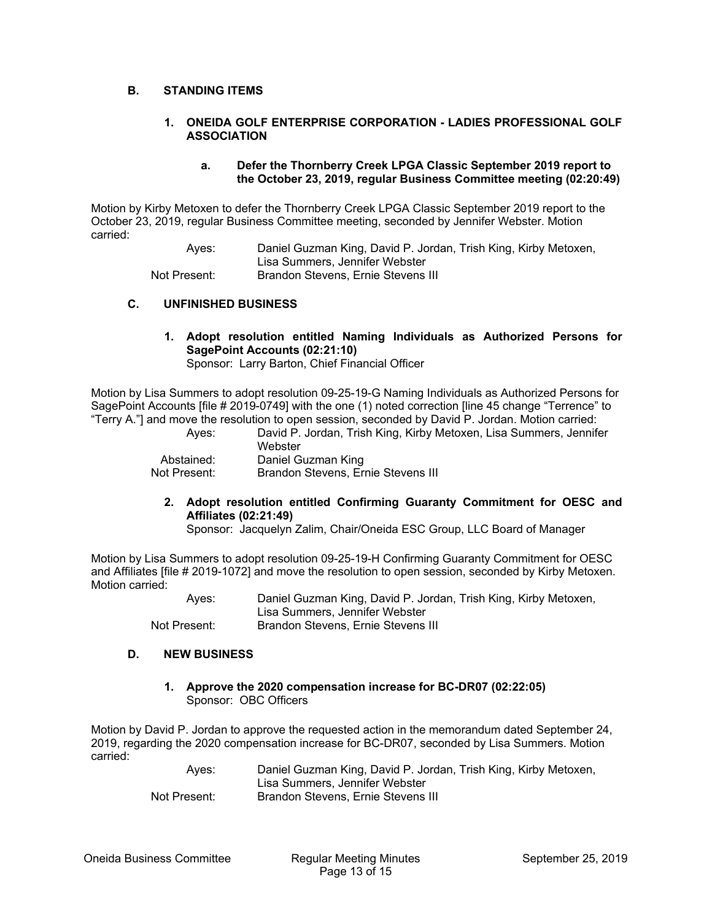## **B. STANDING ITEMS**

#### **1. ONEIDA GOLF ENTERPRISE CORPORATION - LADIES PROFESSIONAL GOLF ASSOCIATION**

#### **a. Defer the Thornberry Creek LPGA Classic September 2019 report to the October 23, 2019, regular Business Committee meeting (02:20:49)**

Motion by Kirby Metoxen to defer the Thornberry Creek LPGA Classic September 2019 report to the October 23, 2019, regular Business Committee meeting, seconded by Jennifer Webster. Motion carried:

 Ayes: Daniel Guzman King, David P. Jordan, Trish King, Kirby Metoxen, Lisa Summers, Jennifer Webster Not Present: Brandon Stevens, Ernie Stevens III

#### **C. UNFINISHED BUSINESS**

**1. Adopt resolution entitled Naming Individuals as Authorized Persons for SagePoint Accounts (02:21:10)** 

Sponsor: Larry Barton, Chief Financial Officer

Motion by Lisa Summers to adopt resolution 09-25-19-G Naming Individuals as Authorized Persons for SagePoint Accounts [file # 2019-0749] with the one (1) noted correction [line 45 change "Terrence" to "Terry A."] and move the resolution to open session, seconded by David P. Jordan. Motion carried:

> Ayes: David P. Jordan, Trish King, Kirby Metoxen, Lisa Summers, Jennifer **Webster**  Abstained: Daniel Guzman King Not Present: Brandon Stevens, Ernie Stevens III

**2. Adopt resolution entitled Confirming Guaranty Commitment for OESC and Affiliates (02:21:49)** 

Sponsor: Jacquelyn Zalim, Chair/Oneida ESC Group, LLC Board of Manager

Motion by Lisa Summers to adopt resolution 09-25-19-H Confirming Guaranty Commitment for OESC and Affiliates [file # 2019-1072] and move the resolution to open session, seconded by Kirby Metoxen. Motion carried:

> Ayes: Daniel Guzman King, David P. Jordan, Trish King, Kirby Metoxen, Lisa Summers, Jennifer Webster Not Present: Brandon Stevens, Ernie Stevens III

#### **D. NEW BUSINESS**

**1. Approve the 2020 compensation increase for BC-DR07 (02:22:05)**  Sponsor: OBC Officers

Motion by David P. Jordan to approve the requested action in the memorandum dated September 24, 2019, regarding the 2020 compensation increase for BC-DR07, seconded by Lisa Summers. Motion carried:

> Ayes: Daniel Guzman King, David P. Jordan, Trish King, Kirby Metoxen, Lisa Summers, Jennifer Webster Not Present: Brandon Stevens, Ernie Stevens III

Oneida Business Committee Regular Meeting Minutes September 25, 2019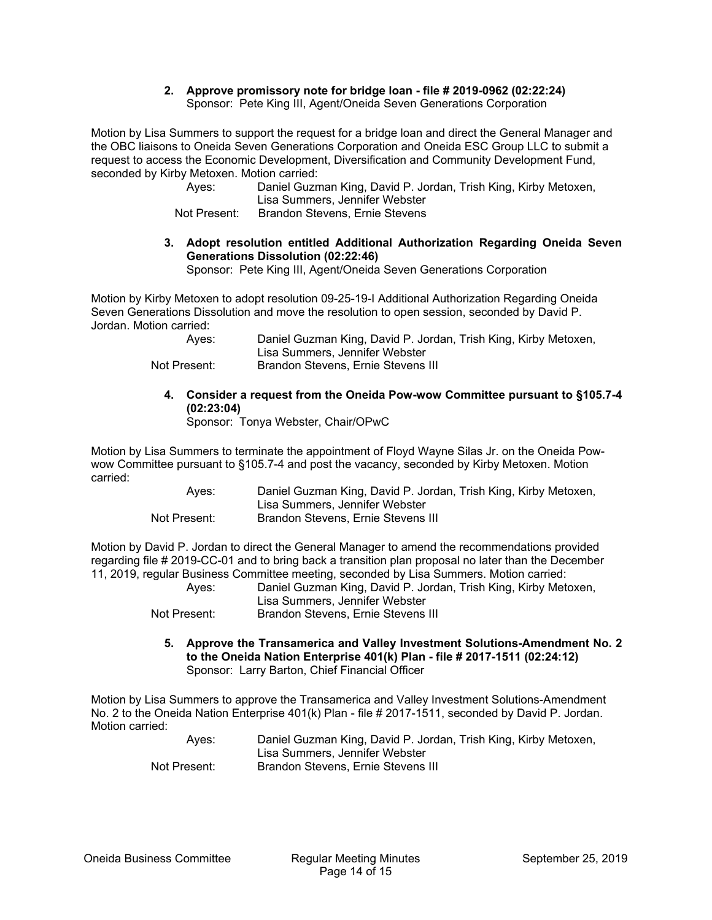#### **2. Approve promissory note for bridge loan - file # 2019-0962 (02:22:24)**  Sponsor: Pete King III, Agent/Oneida Seven Generations Corporation

Motion by Lisa Summers to support the request for a bridge loan and direct the General Manager and the OBC liaisons to Oneida Seven Generations Corporation and Oneida ESC Group LLC to submit a request to access the Economic Development, Diversification and Community Development Fund, seconded by Kirby Metoxen. Motion carried:

| Aves:        | Daniel Guzman King, David P. Jordan, Trish King, Kirby Metoxen,<br>Lisa Summers, Jennifer Webster |
|--------------|---------------------------------------------------------------------------------------------------|
| Not Present: | Brandon Stevens, Ernie Stevens                                                                    |

## **3. Adopt resolution entitled Additional Authorization Regarding Oneida Seven Generations Dissolution (02:22:46)**

Sponsor: Pete King III, Agent/Oneida Seven Generations Corporation

Motion by Kirby Metoxen to adopt resolution 09-25-19-I Additional Authorization Regarding Oneida Seven Generations Dissolution and move the resolution to open session, seconded by David P. Jordan. Motion carried:

| Aves:        | Daniel Guzman King, David P. Jordan, Trish King, Kirby Metoxen, |
|--------------|-----------------------------------------------------------------|
|              | Lisa Summers, Jennifer Webster                                  |
| Not Present: | Brandon Stevens, Ernie Stevens III                              |

## **4. Consider a request from the Oneida Pow-wow Committee pursuant to §105.7-4 (02:23:04)**

Sponsor: Tonya Webster, Chair/OPwC

Motion by Lisa Summers to terminate the appointment of Floyd Wayne Silas Jr. on the Oneida Powwow Committee pursuant to §105.7-4 and post the vacancy, seconded by Kirby Metoxen. Motion carried:

| Aves:        | Daniel Guzman King, David P. Jordan, Trish King, Kirby Metoxen, |
|--------------|-----------------------------------------------------------------|
|              | Lisa Summers, Jennifer Webster                                  |
| Not Present: | Brandon Stevens, Ernie Stevens III                              |

Motion by David P. Jordan to direct the General Manager to amend the recommendations provided regarding file # 2019-CC-01 and to bring back a transition plan proposal no later than the December 11, 2019, regular Business Committee meeting, seconded by Lisa Summers. Motion carried:

| Aves:        | Daniel Guzman King, David P. Jordan, Trish King, Kirby Metoxen, |
|--------------|-----------------------------------------------------------------|
|              | Lisa Summers. Jennifer Webster                                  |
| Not Present: | Brandon Stevens, Ernie Stevens III                              |

#### **5. Approve the Transamerica and Valley Investment Solutions-Amendment No. 2 to the Oneida Nation Enterprise 401(k) Plan - file # 2017-1511 (02:24:12)**  Sponsor: Larry Barton, Chief Financial Officer

Motion by Lisa Summers to approve the Transamerica and Valley Investment Solutions-Amendment No. 2 to the Oneida Nation Enterprise 401(k) Plan - file # 2017-1511, seconded by David P. Jordan. Motion carried:

| Aves:        | Daniel Guzman King, David P. Jordan, Trish King, Kirby Metoxen, |
|--------------|-----------------------------------------------------------------|
|              | Lisa Summers, Jennifer Webster                                  |
| Not Present: | Brandon Stevens, Ernie Stevens III                              |